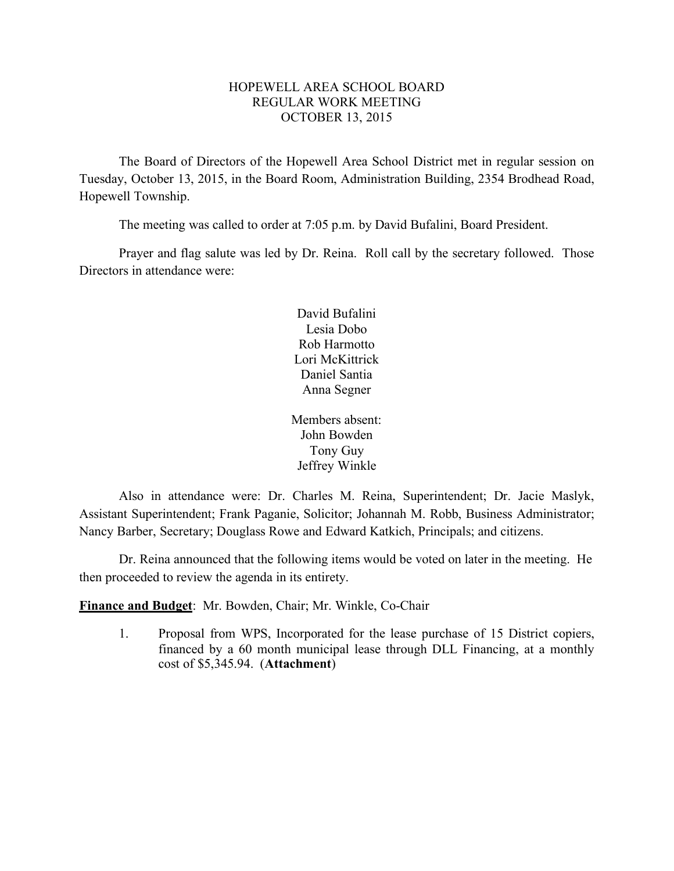### HOPEWELL AREA SCHOOL BOARD REGULAR WORK MEETING OCTOBER 13, 2015

The Board of Directors of the Hopewell Area School District met in regular session on Tuesday, October 13, 2015, in the Board Room, Administration Building, 2354 Brodhead Road, Hopewell Township.

The meeting was called to order at 7:05 p.m. by David Bufalini, Board President.

Prayer and flag salute was led by Dr. Reina. Roll call by the secretary followed. Those Directors in attendance were:

> David Bufalini Lesia Dobo Rob Harmotto Lori McKittrick Daniel Santia Anna Segner

Members absent: John Bowden Tony Guy Jeffrey Winkle

Also in attendance were: Dr. Charles M. Reina, Superintendent; Dr. Jacie Maslyk, Assistant Superintendent; Frank Paganie, Solicitor; Johannah M. Robb, Business Administrator; Nancy Barber, Secretary; Douglass Rowe and Edward Katkich, Principals; and citizens.

Dr. Reina announced that the following items would be voted on later in the meeting. He then proceeded to review the agenda in its entirety.

**Finance and Budget**: Mr. Bowden, Chair; Mr. Winkle, Co-Chair

1. Proposal from WPS, Incorporated for the lease purchase of 15 District copiers, financed by a 60 month municipal lease through DLL Financing, at a monthly cost of \$5,345.94. (**Attachment**)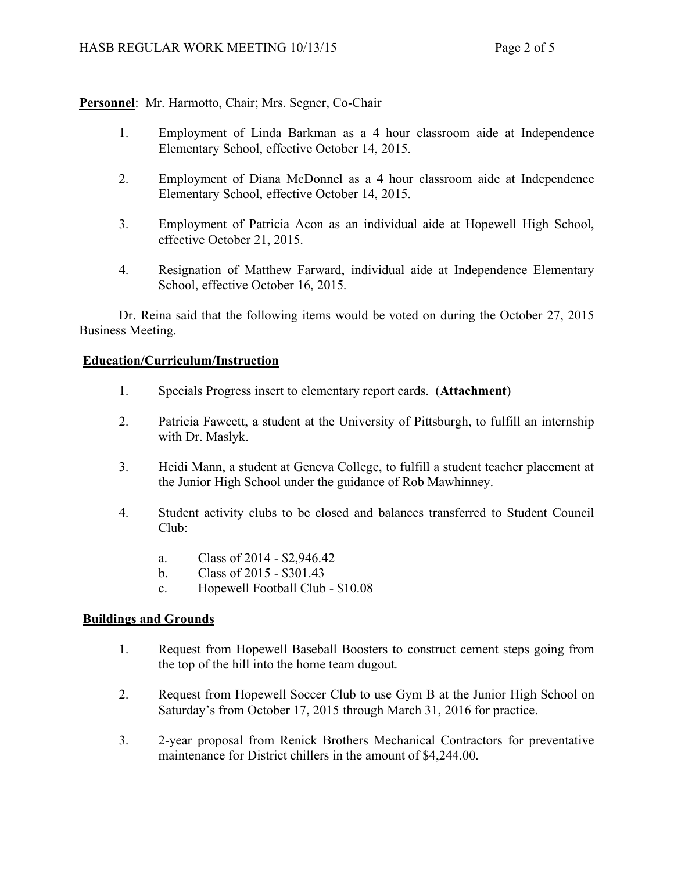## **Personnel**: Mr. Harmotto, Chair; Mrs. Segner, Co-Chair

- 1. Employment of Linda Barkman as a 4 hour classroom aide at Independence Elementary School, effective October 14, 2015.
- 2. Employment of Diana McDonnel as a 4 hour classroom aide at Independence Elementary School, effective October 14, 2015.
- 3. Employment of Patricia Acon as an individual aide at Hopewell High School, effective October 21, 2015.
- 4. Resignation of Matthew Farward, individual aide at Independence Elementary School, effective October 16, 2015.

Dr. Reina said that the following items would be voted on during the October 27, 2015 Business Meeting.

#### **Education/Curriculum/Instruction**

- 1. Specials Progress insert to elementary report cards. (**Attachment**)
- 2. Patricia Fawcett, a student at the University of Pittsburgh, to fulfill an internship with Dr. Maslyk.
- 3. Heidi Mann, a student at Geneva College, to fulfill a student teacher placement at the Junior High School under the guidance of Rob Mawhinney.
- 4. Student activity clubs to be closed and balances transferred to Student Council Club:
	- a. Class of 2014 \$2,946.42
	- b. Class of 2015 \$301.43
	- c. Hopewell Football Club \$10.08

#### **Buildings and Grounds**

- 1. Request from Hopewell Baseball Boosters to construct cement steps going from the top of the hill into the home team dugout.
- 2. Request from Hopewell Soccer Club to use Gym B at the Junior High School on Saturday's from October 17, 2015 through March 31, 2016 for practice.
- 3. 2-year proposal from Renick Brothers Mechanical Contractors for preventative maintenance for District chillers in the amount of \$4,244.00.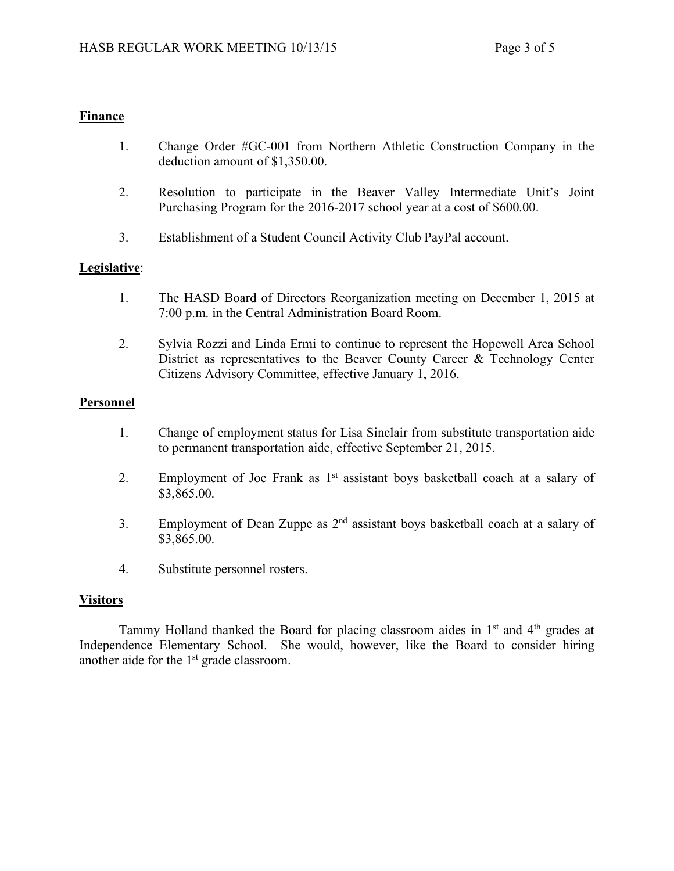### **Finance**

- 1. Change Order #GC-001 from Northern Athletic Construction Company in the deduction amount of \$1,350.00.
- 2. Resolution to participate in the Beaver Valley Intermediate Unit's Joint Purchasing Program for the 2016-2017 school year at a cost of \$600.00.
- 3. Establishment of a Student Council Activity Club PayPal account.

### **Legislative**:

- 1. The HASD Board of Directors Reorganization meeting on December 1, 2015 at 7:00 p.m. in the Central Administration Board Room.
- 2. Sylvia Rozzi and Linda Ermi to continue to represent the Hopewell Area School District as representatives to the Beaver County Career & Technology Center Citizens Advisory Committee, effective January 1, 2016.

### **Personnel**

- 1. Change of employment status for Lisa Sinclair from substitute transportation aide to permanent transportation aide, effective September 21, 2015.
- 2. Employment of Joe Frank as  $1<sup>st</sup>$  assistant boys basketball coach at a salary of \$3,865.00.
- 3. Employment of Dean Zuppe as  $2<sup>nd</sup>$  assistant boys basketball coach at a salary of \$3,865.00.
- 4. Substitute personnel rosters.

### **Visitors**

Tammy Holland thanked the Board for placing classroom aides in  $1<sup>st</sup>$  and  $4<sup>th</sup>$  grades at Independence Elementary School. She would, however, like the Board to consider hiring another aide for the 1<sup>st</sup> grade classroom.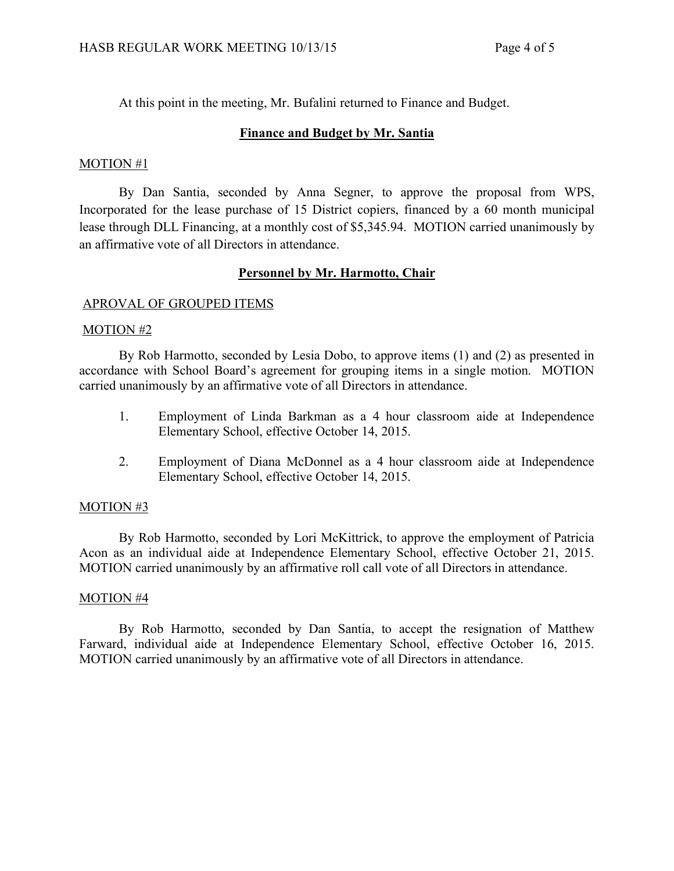At this point in the meeting, Mr. Bufalini returned to Finance and Budget.

## **Finance and Budget by Mr. Santia**

### MOTION #1

By Dan Santia, seconded by Anna Segner, to approve the proposal from WPS, Incorporated for the lease purchase of 15 District copiers, financed by a 60 month municipal lease through DLL Financing, at a monthly cost of \$5,345.94. MOTION carried unanimously by an affirmative vote of all Directors in attendance.

### **Personnel by Mr. Harmotto, Chair**

### APROVAL OF GROUPED ITEMS

### MOTION #2

By Rob Harmotto, seconded by Lesia Dobo, to approve items (1) and (2) as presented in accordance with School Board's agreement for grouping items in a single motion. MOTION carried unanimously by an affirmative vote of all Directors in attendance.

- 1. Employment of Linda Barkman as a 4 hour classroom aide at Independence Elementary School, effective October 14, 2015.
- 2. Employment of Diana McDonnel as a 4 hour classroom aide at Independence Elementary School, effective October 14, 2015.

### MOTION #3

By Rob Harmotto, seconded by Lori McKittrick, to approve the employment of Patricia Acon as an individual aide at Independence Elementary School, effective October 21, 2015. MOTION carried unanimously by an affirmative roll call vote of all Directors in attendance.

### MOTION #4

By Rob Harmotto, seconded by Dan Santia, to accept the resignation of Matthew Farward, individual aide at Independence Elementary School, effective October 16, 2015. MOTION carried unanimously by an affirmative vote of all Directors in attendance.